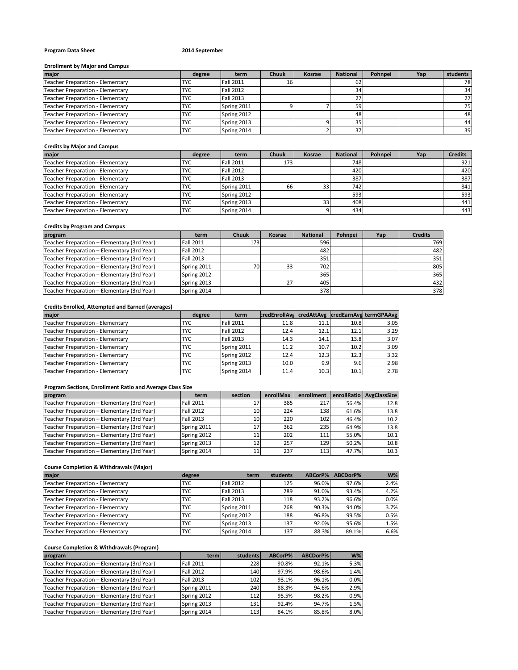# **Program Data Sheet 2014 September**

#### **Enrollment by Major and Campus**

| major                            | degree     | term             | <b>Chuuk</b> | Kosrae | <b>National</b> | Pohnpei | Yap | students |
|----------------------------------|------------|------------------|--------------|--------|-----------------|---------|-----|----------|
| Teacher Preparation - Elementary | <b>TYC</b> | <b>Fall 2011</b> |              |        | 62              |         |     | 78       |
| Teacher Preparation - Elementary | <b>TYC</b> | <b>Fall 2012</b> |              |        | 34              |         |     | 34       |
| Teacher Preparation - Elementary | <b>TYC</b> | <b>Fall 2013</b> |              |        |                 |         |     | 27       |
| Teacher Preparation - Elementary | <b>TYC</b> | Spring 2011      |              |        | 59              |         |     | 75       |
| Teacher Preparation - Elementary | <b>TYC</b> | Spring 2012      |              |        | 48              |         |     | 48       |
| Teacher Preparation - Elementary | <b>TYC</b> | Spring 2013      |              |        | 35              |         |     | 44       |
| Teacher Preparation - Elementary | <b>TYC</b> | Spring 2014      |              |        | 37              |         |     | 39       |

#### **Credits by Major and Campus**

| major                            | degree     | term             | Chuuk | Kosrae          | <b>National</b> | Pohnpei | Yap | <b>Credits</b> |
|----------------------------------|------------|------------------|-------|-----------------|-----------------|---------|-----|----------------|
| Teacher Preparation - Elementary | <b>TYC</b> | <b>Fall 2011</b> | 1731  |                 | 748             |         |     | 921            |
| Teacher Preparation - Elementary | <b>TYC</b> | <b>Fall 2012</b> |       |                 | 420             |         |     | 420            |
| Teacher Preparation - Elementary | <b>TYC</b> | <b>Fall 2013</b> |       |                 | 387             |         |     | 387            |
| Teacher Preparation - Elementary | <b>TYC</b> | Spring 2011      | 66    | 33              | 742             |         |     | 841            |
| Teacher Preparation - Elementary | <b>TYC</b> | Spring 2012      |       |                 | 593             |         |     | 593            |
| Teacher Preparation - Elementary | <b>TYC</b> | Spring 2013      |       | 33 <sup>1</sup> | 408             |         |     | 441            |
| Teacher Preparation - Elementary | <b>TYC</b> | Spring 2014      |       |                 | 434             |         |     | 443            |

# **Credits by Program and Campus**

| program                                     | term             | <b>Chuuk</b> | Kosrae | <b>National</b> | Pohnpei | Yap | <b>Credits</b> |
|---------------------------------------------|------------------|--------------|--------|-----------------|---------|-----|----------------|
| Teacher Preparation - Elementary (3rd Year) | <b>Fall 2011</b> | 1731         |        | 596             |         |     | 769            |
| Teacher Preparation - Elementary (3rd Year) | <b>Fall 2012</b> |              |        | 482             |         |     | 482            |
| Teacher Preparation - Elementary (3rd Year) | Fall 2013        |              |        | 351             |         |     | 351            |
| Teacher Preparation - Elementary (3rd Year) | Spring 2011      | 701          | 33     | 702             |         |     | 805            |
| Teacher Preparation - Elementary (3rd Year) | Spring 2012      |              |        | 365             |         |     | 365            |
| Teacher Preparation - Elementary (3rd Year) | Spring 2013      |              | 27     | 405             |         |     | 432            |
| Teacher Preparation - Elementary (3rd Year) | Spring 2014      |              |        | 378             |         |     | 378            |

# **Credits Enrolled, Attempted and Earned (averages)**

| major                            | degree     | term             | <b>credEnrollAva</b> |      |      | credAttAvg credEarnAvg termGPAAvg |
|----------------------------------|------------|------------------|----------------------|------|------|-----------------------------------|
| Teacher Preparation - Elementary | <b>TYC</b> | <b>Fall 2011</b> | 11.8                 | 11.1 | 10.8 | 3.05                              |
| Teacher Preparation - Elementary | <b>TYC</b> | <b>Fall 2012</b> | 12.4                 | 12.1 | 12.1 | 3.29                              |
| Teacher Preparation - Elementary | <b>TYC</b> | <b>Fall 2013</b> | 14.3                 | 14.1 | 13.8 | 3.07                              |
| Teacher Preparation - Elementary | <b>TYC</b> | Spring 2011      | 11.2                 | 10.7 | 10.2 | 3.09                              |
| Teacher Preparation - Elementary | <b>TYC</b> | Spring 2012      | 12.4                 | 12.3 | 12.3 | 3.32                              |
| Teacher Preparation - Elementary | <b>TYC</b> | Spring 2013      | 10.0                 | 9.9  | 9.6  | 2.98                              |
| Teacher Preparation - Elementary | <b>TYC</b> | Spring 2014      | 11.4                 | 10.3 | 10.1 | 2.78                              |

### **Program Sections, Enrollment Ratio and Average Class Size**

| program                                     | term             | section         | enrollMax | enrollment |       | enrollRatio AvgClassSize |
|---------------------------------------------|------------------|-----------------|-----------|------------|-------|--------------------------|
| Teacher Preparation - Elementary (3rd Year) | <b>Fall 2011</b> |                 | 385I      | 217        | 56.4% | 12.8                     |
| Teacher Preparation - Elementary (3rd Year) | <b>Fall 2012</b> | 10 <sup>1</sup> | 224       | 138        | 61.6% | 13.8                     |
| Teacher Preparation - Elementary (3rd Year) | <b>Fall 2013</b> | 10              | 220       | 102        | 46.4% | 10.2                     |
| Teacher Preparation - Elementary (3rd Year) | Spring 2011      |                 | 3621      | 235        | 64.9% | 13.8                     |
| Teacher Preparation - Elementary (3rd Year) | Spring 2012      |                 | 2021      | 111        | 55.0% | 10.1                     |
| Teacher Preparation - Elementary (3rd Year) | Spring 2013      | 12              | 257       | 129        | 50.2% | 10.8                     |
| Teacher Preparation - Elementary (3rd Year) | Spring 2014      |                 | 2371      | 113        | 47.7% | 10.3                     |

# **Course Completion & Withdrawals (Major)**

| major                                   | degree     | term             | students | ABCorP% | ABCDorP% | $W\%$ |
|-----------------------------------------|------------|------------------|----------|---------|----------|-------|
| Teacher Preparation - Elementary        | <b>TYC</b> | <b>Fall 2012</b> | 125      | 96.0%   | 97.6%    | 2.4%  |
| Teacher Preparation - Elementary        | <b>TYC</b> | <b>Fall 2013</b> | 289      | 91.0%   | 93.4%    | 4.2%  |
| <b>Teacher Preparation - Elementary</b> | <b>TYC</b> | <b>Fall 2013</b> | 118      | 93.2%   | 96.6%    | 0.0%  |
| Teacher Preparation - Elementary        | TYC        | Spring 2011      | 268      | 90.3%   | 94.0%    | 3.7%  |
| Teacher Preparation - Elementary        | <b>TYC</b> | Spring 2012      | 188      | 96.8%   | 99.5%    | 0.5%  |
| Teacher Preparation - Elementary        | <b>TYC</b> | Spring 2013      | 137      | 92.0%   | 95.6%    | 1.5%  |
| Teacher Preparation - Elementary        | <b>TYC</b> | Spring 2014      | 137      | 88.3%   | 89.1%    | 6.6%  |

### **Course Completion & Withdrawals (Program)**

| program                                     | term             | students | ABCorP% | ABCDorP% | $W\%$ |
|---------------------------------------------|------------------|----------|---------|----------|-------|
| Teacher Preparation - Elementary (3rd Year) | <b>Fall 2011</b> | 228      | 90.8%   | 92.1%    | 5.3%  |
| Teacher Preparation - Elementary (3rd Year) | <b>Fall 2012</b> | 140      | 97.9%   | 98.6%    | 1.4%  |
| Teacher Preparation - Elementary (3rd Year) | Fall 2013        | 102      | 93.1%   | 96.1%    | 0.0%  |
| Teacher Preparation - Elementary (3rd Year) | Spring 2011      | 240      | 88.3%   | 94.6%    | 2.9%  |
| Teacher Preparation - Elementary (3rd Year) | Spring 2012      | 112      | 95.5%   | 98.2%    | 0.9%  |
| Teacher Preparation - Elementary (3rd Year) | Spring 2013      | 131      | 92.4%   | 94.7%    | 1.5%  |
| Teacher Preparation - Elementary (3rd Year) | Spring 2014      | 113      | 84.1%   | 85.8%    | 8.0%  |